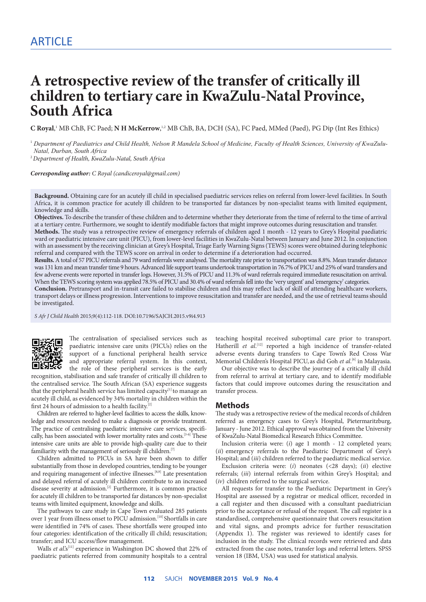# **A retrospective review of the transfer of critically ill children to tertiary care in KwaZulu-Natal Province, South Africa**

**C Royal**, 1 MB ChB, FC Paed; **N H McKerrow**, 1,2 MB ChB, BA, DCH (SA), FC Paed, MMed (Paed), PG Dip (Int Res Ethics)

<sup>1</sup> Department of Paediatrics and Child Health, Nelson R Mandela School of Medicine, Faculty of Health Sciences, University of KwaZulu-*Natal, Durban, South Africa*

2 *Department of Health, KwaZulu-Natal, South Africa*

*Corresponding author: C Royal (candiceroyal@gmail.com)*

**Background.** Obtaining care for an acutely ill child in specialised paediatric services relies on referral from lower-level facilities. In South Africa, it is common practice for acutely ill children to be transported far distances by non-specialist teams with limited equipment, knowledge and skills.

**Objectives.** To describe the transfer of these children and to determine whether they deteriorate from the time of referral to the time of arrival at a tertiary centre. Furthermore, we sought to identify modifiable factors that might improve outcomes during resuscitation and transfer.

**Methods.** The study was a retrospective review of emergency referrals of children aged 1 month - 12 years to Grey's Hospital paediatric ward or paediatric intensive care unit (PICU), from lower-level facilities in KwaZulu-Natal between January and June 2012. In conjunction with an assessment by the receiving clinician at Grey's Hospital, Triage Early Warning Signs (TEWS) scores were obtained during telephonic referral and compared with the TEWS score on arrival in order to determine if a deterioration had occurred.

**Results.** A total of 57 PICU referrals and 79 ward referrals were analysed. The mortality rate prior to transportation was 8.8%. Mean transfer distance was 131 km and mean transfer time 9 hours. Advanced life support teams undertook transportation in 76.7% of PICU and 25% of ward transfers and few adverse events were reported in transfer logs. However, 31.5% of PICU and 11.3% of ward referrals required immediate resuscitation on arrival. When the TEWS scoring system was applied 78.5% of PICU and 30.4% of ward referrals fell into the 'very urgent' and 'emergency' categories.

**Conclusion.** Pretransport and in-transit care failed to stabilise children and this may reflect lack of skill of attending healthcare workers, transport delays or illness progression. Interventions to improve resuscitation and transfer are needed, and the use of retrieval teams should be investigated.

*S Afr J Child Health* 2015;9(4):112-118. DOI:10.7196/SAJCH.2015.v9i4.913



The centralisation of specialised services such as paediatric intensive care units (PICUs) relies on the support of a functional peripheral health service and appropriate referral system. In this context, the role of these peripheral services is the early

recognition, stabilisation and safe transfer of critically ill children to the centralised service. The South African (SA) experience suggests that the peripheral health service has limited capacity $[1]$  to manage an acutely ill child, as evidenced by 34% mortality in children within the first 24 hours of admission to a health facility.<sup>[2]</sup>

Children are referred to higher-level facilities to access the skills, knowledge and resources needed to make a diagnosis or provide treatment. The practice of centralising paediatric intensive care services, specifically, has been associated with lower mortality rates and costs.<sup>[3-6]</sup> These intensive care units are able to provide high-quality care due to their familiarity with the management of seriously ill children.<sup>[7]</sup>

Children admitted to PICUs in SA have been shown to differ substantially from those in developed countries, tending to be younger and requiring management of infective illnesses.<sup>[8,9]</sup> Late presentation and delayed referral of acutely ill children contribute to an increased disease severity at admission.<sup>[2]</sup> Furthermore, it is common practice for acutely ill children to be transported far distances by non-specialist teams with limited equipment, knowledge and skills.

The pathways to care study in Cape Town evaluated 285 patients over 1 year from illness onset to PICU admission.<sup>[10]</sup> Shortfalls in care were identified in 74% of cases. These shortfalls were grouped into four categories: identification of the critically ill child; resuscitation; transfer; and ICU access/flow management.

Walls *et al*'s<sup>[11]</sup> experience in Washington DC showed that 22% of paediatric patients referred from community hospitals to a central

teaching hospital received suboptimal care prior to transport. Hatherill et al.<sup>[12]</sup> reported a high incidence of transfer-related adverse events during transfers to Cape Town's Red Cross War Memorial Children's Hospital PICU, as did Goh et al.<sup>[6]</sup> in Malayasia.

Our objective was to describe the journey of a critically ill child from referral to arrival at tertiary care, and to identify modifiable factors that could improve outcomes during the resuscitation and transfer process.

#### **Methods**

The study was a retrospective review of the medical records of children referred as emergency cases to Grey's Hospital, Pietermaritzburg, January - June 2012. Ethical approval was obtained from the University of KwaZulu-Natal Biomedical Research Ethics Committee.

Inclusion criteria were: (*i*) age 1 month - 12 completed years; (*ii*) emergency referrals to the Paediatric Department of Grey's Hospital; and (*iii*) children referred to the paediatric medical service.

Exclusion criteria were: (*i*) neonates (<28 days); (*ii*) elective referrals; (*iii*) internal referrals from within Grey's Hospital; and (*iv*) children referred to the surgical service.

All requests for transfer to the Paediatric Department in Grey's Hospital are assessed by a registrar or medical officer, recorded in a call register and then discussed with a consultant paediatrician prior to the acceptance or refusal of the request. The call register is a standardised, comprehensive questionnaire that covers resuscitation and vital signs, and prompts advice for further resuscitation (Appendix 1). The register was reviewed to identify cases for inclusion in the study. The clinical records were retrieved and data extracted from the case notes, transfer logs and referral letters. SPSS version 18 (IBM, USA) was used for statistical analysis.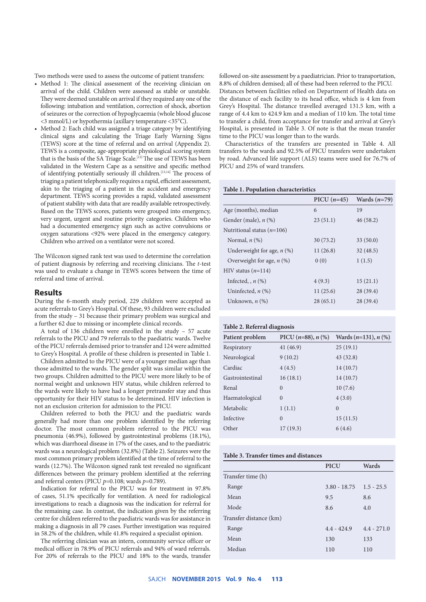Two methods were used to assess the outcome of patient transfers:

- Method 1: The clinical assessment of the receiving clinician on arrival of the child. Children were assessed as stable or unstable. They were deemed unstable on arrival if they required any one of the following: intubation and ventilation, correction of shock, abortion of seizures or the correction of hypoglycaemia (whole blood glucose <3 mmol/L) or hypothermia (axillary temperature <35°C).
- Method 2: Each child was assigned a triage category by identifying clinical signs and calculating the Triage Early Warning Signs (TEWS) score at the time of referral and on arrival (Appendix 2). TEWS is a composite, age-appropriate physiological scoring system that is the basis of the SA Triage Scale.<sup>[13]</sup> The use of TEWS has been validated in the Western Cape as a sensitive and specific method of identifying potentially seriously ill children.<sup>[13,14]</sup> The process of triaging a patient telephonically requires a rapid, efficient assessment, akin to the triaging of a patient in the accident and emergency department. TEWS scoring provides a rapid, validated assessment of patient stability with data that are readily available retrospectively. Based on the TEWS scores, patients were grouped into emergency, very urgent, urgent and routine priority categories. Children who had a documented emergency sign such as active convulsions or oxygen saturations <92% were placed in the emergency category. Children who arrived on a ventilator were not scored.

The Wilcoxon signed rank test was used to determine the correlation of patient diagnosis by referring and receiving clinicians. The *t*-test was used to evaluate a change in TEWS scores between the time of referral and time of arrival.

#### **Results**

During the 6-month study period, 229 children were accepted as acute referrals to Grey's Hospital. Of these, 93 children were excluded from the study – 31 because their primary problem was surgical and a further 62 due to missing or incomplete clinical records.

A total of 136 children were enrolled in the study – 57 acute referrals to the PICU and 79 referrals to the paediatric wards. Twelve of the PICU referrals demised prior to transfer and 124 were admitted to Grey's Hospital. A profile of these children is presented in Table 1.

Children admitted to the PICU were of a younger median age than those admitted to the wards. The gender split was similar within the two groups. Children admitted to the PICU were more likely to be of normal weight and unknown HIV status, while children referred to the wards were likely to have had a longer pretransfer stay and thus opportunity for their HIV status to be determined. HIV infection is not an exclusion criterion for admission to the PICU.

Children referred to both the PICU and the paediatric wards generally had more than one problem identified by the referring doctor. The most common problem referred to the PICU was pneumonia (46.9%), followed by gastrointestinal problems (18.1%), which was diarrhoeal disease in 17% of the cases, and to the paediatric wards was a neurological problem (32.8%) (Table 2). Seizures were the most common primary problem identified at the time of referral to the wards (12.7%). The Wilcoxon signed rank test revealed no significant differences between the primary problem identified at the referring and referral centers (PICU *p*=0.108; wards *p*=0.789).

Indication for referral to the PICU was for treatment in 97.8% of cases, 51.1% specifically for ventilation. A need for radiological investigations to reach a diagnosis was the indication for referral for the remaining case. In contrast, the indication given by the referring centre for children referred to the paediatric wards was for assistance in making a diagnosis in all 79 cases. Further investigation was required in 58.2% of the children, while 41.8% required a specialist opinion.

The referring clinician was an intern, community service officer or medical officer in 78.9% of PICU referrals and 94% of ward referrals. For 20% of referrals to the PICU and 18% to the wards, transfer

followed on-site assessment by a paediatrician. Prior to transportation, 8.8% of children demised; all of these had been referred to the PICU. Distances between facilities relied on Department of Health data on the distance of each facility to its head office, which is 4 km from Grey's Hospital. The distance travelled averaged 131.5 km, with a range of 4.4 km to 424.9 km and a median of 110 km. The total time to transfer a child, from acceptance for transfer and arrival at Grey's Hospital, is presented in Table 3. Of note is that the mean transfer time to the PICU was longer than to the wards.

Characteristics of the transfers are presented in Table 4. All transfers to the wards and 92.5% of PICU transfers were undertaken by road. Advanced life support (ALS) teams were used for 76.7% of PICU and 25% of ward transfers.

## **Table 1. Population characteristics PICU (***n***=45) Wards (***n***=79)** Age (months), median 6 19 Gender (male), *n* (%) 23 (51.1) 46 (58.2) Nutritional status (*n*=106) Normal, *n* (%) 30 (73.2) 33 (50.0) Underweight for age, *n* (%) 11 (26.8) 32 (48.5) Overweight for age,  $n$  (%) 0 (0) 1 (1.5) HIV status (*n*=114) Infected,  $n$  (%)  $4$  (9.3) 15 (21.1) Uninfected, *n* (%) 11 (25.6) 28 (39.4) Unknown, *n* (%) 28 (65.1) 28 (39.4)

## **Table 2. Referral diagnosis Patient problem PICU (***n***=88),** *n* **(%) Wards (***n***=131),** *n* **(%)** Respiratory 41 (46.9) 25 (19.1) Neurological 9 (10.2) 43 (32.8) Cardiac 4 (4.5) 14 (10.7) Gastrointestinal 16 (18.1) 14 (10.7) Renal 0 10 (7.6) Haematological 0 4 (3.0) Metabolic  $1 (1.1)$  0 Infective 0 15 (11.5) Other 17 (19.3) 6 (4.6)

#### **Table 3. Transfer times and distances**

| <b>PICU</b>    | Wards         |
|----------------|---------------|
|                |               |
| $3.80 - 18.75$ | $1.5 - 25.5$  |
| 9.5            | 8.6           |
| 8.6            | 4.0           |
|                |               |
| $4.4 - 424.9$  | $4.4 - 271.0$ |
| 130            | 133           |
| 110            | 110           |
|                |               |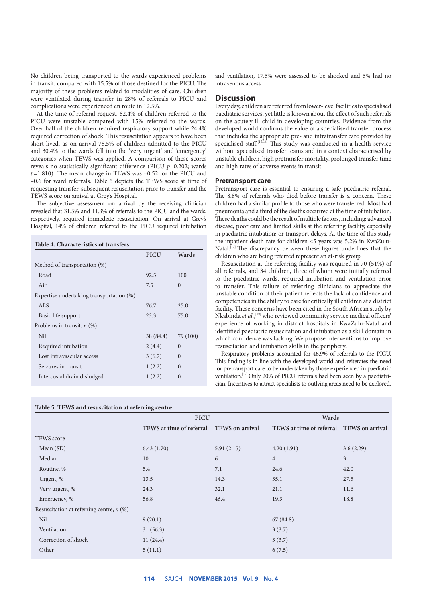No children being transported to the wards experienced problems in transit, compared with 15.5% of those destined for the PICU. The majority of these problems related to modalities of care. Children were ventilated during transfer in 28% of referrals to PICU and complications were experienced en route in 12.5%.

At the time of referral request, 82.4% of children referred to the PICU were unstable compared with 15% referred to the wards. Over half of the children required respiratory support while 24.4% required correction of shock. This resuscitation appears to have been short-lived, as on arrival 78.5% of children admitted to the PICU and 30.4% to the wards fell into the 'very urgent' and 'emergency' categories when TEWS was applied. A comparison of these scores reveals no statistically significant difference (PICU *p*=0.202; wards *p*=1.810). The mean change in TEWS was –0.52 for the PICU and –0.6 for ward referrals. Table 5 depicts the TEWS score at time of requesting transfer, subsequent resuscitation prior to transfer and the TEWS score on arrival at Grey's Hospital.

The subjective assessment on arrival by the receiving clinician revealed that 31.5% and 11.3% of referrals to the PICU and the wards, respectively, required immediate resuscitation. On arrival at Grey's Hospital, 14% of children referred to the PICU required intubation

**Table 4. Characteristics of transfers**

|                                          | <b>PICU</b> | Wards    |
|------------------------------------------|-------------|----------|
| Method of transportation (%)             |             |          |
| Road                                     | 92.5        | 100      |
| Air                                      | 7.5         | $\theta$ |
| Expertise undertaking transportation (%) |             |          |
| <b>ALS</b>                               | 76.7        | 25.0     |
| Basic life support                       | 23.3        | 75.0     |
| Problems in transit, $n$ (%)             |             |          |
| Nil                                      | 38 (84.4)   | 79 (100) |
| Required intubation                      | 2(4.4)      | $\Omega$ |
| Lost intravascular access                | 3(6.7)      | $\Omega$ |
| Seizures in transit                      | 1(2.2)      | $\Omega$ |
| Intercostal drain dislodged              | 1(2.2)      | $\Omega$ |

#### **Table 5. TEWS and resuscitation at referring centre**

and ventilation, 17.5% were assessed to be shocked and 5% had no intravenous access.

#### **Discussion**

Every day, children are referred from lower-level facilities to specialised paediatric services, yet little is known about the effect of such referrals on the acutely ill child in developing countries. Evidence from the developed world confirms the value of a specialised transfer process that includes the appropriate pre- and intratransfer care provided by specialised staff.<sup>[15,16]</sup> This study was conducted in a health service without specialised transfer teams and in a context characterised by unstable children, high pretransfer mortality, prolonged transfer time and high rates of adverse events in transit.

#### **Pretransport care**

Pretransport care is essential to ensuring a safe paediatric referral. The 8.8% of referrals who died before transfer is a concern. These children had a similar profile to those who were transferred. Most had pneumonia and a third of the deaths occurred at the time of intubation. These deaths could be the result of multiple factors, including: advanced disease, poor care and limited skills at the referring facility, especially in paediatric intubation; or transport delays. At the time of this study the inpatient death rate for children <5 years was 5.2% in KwaZulu-Natal.<sup>[17]</sup> The discrepancy between these figures underlines that the children who are being referred represent an at-risk group.

Resuscitation at the referring facility was required in 70 (51%) of all referrals, and 34 children, three of whom were initially referred to the paediatric wards, required intubation and ventilation prior to transfer. This failure of referring clinicians to appreciate the unstable condition of their patient reflects the lack of confidence and competencies in the ability to care for critically ill children at a district facility. These concerns have been cited in the South African study by Nkabinda et al.,<sup>[18]</sup> who reviewed community service medical officers' experience of working in district hospitals in KwaZulu-Natal and identified paediatric resuscitation and intubation as a skill domain in which confidence was lacking.We propose interventions to improve resuscitation and intubation skills in the periphery.

Respiratory problems accounted for 46.9% of referrals to the PICU. This finding is in line with the developed world and reiterates the need for pretransport care to be undertaken by those experienced in paediatric ventilation.<sup>[19]</sup> Only 20% of PICU referrals had been seen by a paediatrician. Incentives to attract specialists to outlying areas need to be explored.

|                                            | <b>PICU</b>              |                        | Wards                                    |                |
|--------------------------------------------|--------------------------|------------------------|------------------------------------------|----------------|
|                                            | TEWS at time of referral | <b>TEWS</b> on arrival | TEWS at time of referral TEWS on arrival |                |
| TEWS score                                 |                          |                        |                                          |                |
| Mean (SD)                                  | 6.43(1.70)               | 5.91(2.15)             | 4.20(1.91)                               | 3.6(2.29)      |
| Median                                     | 10                       | 6                      | $\overline{4}$                           | $\mathfrak{Z}$ |
| Routine, %                                 | 5.4                      | 7.1                    | 24.6                                     | 42.0           |
| Urgent, %                                  | 13.5                     | 14.3                   | 35.1                                     | 27.5           |
| Very urgent, %                             | 24.3                     | 32.1                   | 21.1                                     | 11.6           |
| Emergency, %                               | 56.8                     | 46.4                   | 19.3                                     | 18.8           |
| Resuscitation at referring centre, $n$ (%) |                          |                        |                                          |                |
| Nil                                        | 9(20.1)                  |                        | 67(84.8)                                 |                |
| Ventilation                                | 31(56.3)                 |                        | 3(3.7)                                   |                |
| Correction of shock                        | 11(24.4)                 |                        | 3(3.7)                                   |                |
| Other                                      | 5(11.1)                  |                        | 6(7.5)                                   |                |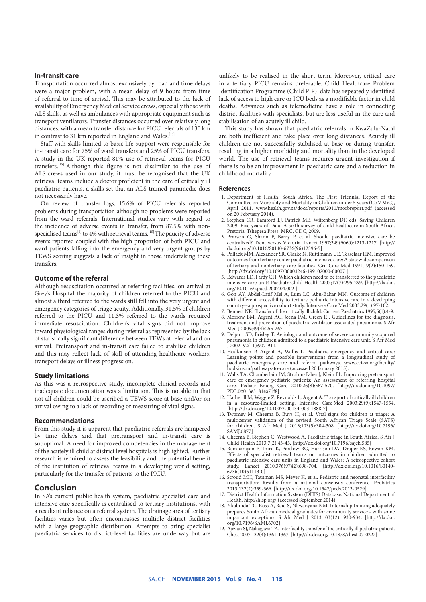#### **In-transit care**

Transportation occurred almost exclusively by road and time delays were a major problem, with a mean delay of 9 hours from time of referral to time of arrival. This may be attributed to the lack of availability of Emergency Medical Service crews, especially those with ALS skills, as well as ambulances with appropriate equipment such as transport ventilators. Transfer distances occurred over relatively long distances, with a mean transfer distance for PICU referrals of 130 km in contrast to 31 km reported in England and Wales.<sup>[15]</sup>

Staff with skills limited to basic life support were responsible for in-transit care for 75% of ward transfers and 25% of PICU transfers. A study in the UK reported 81% use of retrieval teams for PICU transfers.[15] Although this figure is not dissimilar to the use of ALS crews used in our study, it must be recognised that the UK retrieval teams include a doctor proficient in the care of critically ill paediatric patients, a skills set that an ALS-trained paramedic does not necessarily have.

On review of transfer logs, 15.6% of PICU referrals reported problems during transportation although no problems were reported from the ward referrals. International studies vary with regard to the incidence of adverse events in transfer, from 87.5% with nonspecialised teams<sup>[6]</sup> to 4% with retrieval teams.<sup>[15]</sup> The paucity of adverse events reported coupled with the high proportion of both PICU and ward patients falling into the emergency and very urgent groups by TEWS scoring suggests a lack of insight in those undertaking these transfers.

#### **Outcome of the referral**

Although resuscitation occurred at referring facilities, on arrival at Grey's Hospital the majority of children referred to the PICU and almost a third referred to the wards still fell into the very urgent and emergency categories of triage acuity. Additionally, 31.5% of children referred to the PICU and 11.3% referred to the wards required immediate resuscitation. Children's vital signs did not improve toward physiological ranges during referral as represented by the lack of statistically significant difference between TEWs at referral and on arrival. Pretransport and in-transit care failed to stabilise children and this may reflect lack of skill of attending healthcare workers, transport delays or illness progression.

#### **Study limitations**

As this was a retrospective study, incomplete clinical records and inadequate documentation was a limitation. This is notable in that not all children could be ascribed a TEWS score at base and/or on arrival owing to a lack of recording or measuring of vital signs.

#### **Recommendations**

From this study it is apparent that paediatric referrals are hampered by time delays and that pretransport and in-transit care is suboptimal. A need for improved competencies in the management of the acutely ill child at district level hospitals is highlighted. Further research is required to assess the feasibility and the potential benefit of the institution of retrieval teams in a developing world setting, particularly for the transfer of patients to the PICU.

#### **Conclusion**

In SA's current public health system, paediatric specialist care and intensive care specifically is centralised to tertiary institutions, with a resultant reliance on a referral system. The drainage area of tertiary facilities varies but often encompasses multiple district facilities with a large geographic distribution. Attempts to bring specialist paediatric services to district-level facilities are underway but are unlikely to be realised in the short term. Moreover, critical care in a tertiary PICU remains preferable. Child Healthcare Problem Identification Programme (Child PIP) data has repeatedly identified lack of access to high care or ICU beds as a modifiable factor in child deaths. Advances such as telemedicine have a role in connecting district facilities with specialists, but are less useful in the care and stabilisation of an acutely ill child.

This study has shown that paediatric referrals in KwaZulu-Natal are both inefficient and take place over long distances. Acutely ill children are not successfully stabilised at base or during transfer, resulting in a higher morbidity and mortality than in the developed world. The use of retrieval teams requires urgent investigation if there is to be an improvement in paediatric care and a reduction in childhood mortality.

#### **References**

- 1. Department of Health, South Africa. The First Triennial Report of the Committee on Morbidity and Mortality in Children under 5 years (CoMMiC), April 2011. www.health.gov.za/docs/reports/2011/morbreport.pdf (accessed on 20 February 2014).
- 2. Stephen CR, Bamford LJ, Patrick ME, Wittenberg DF, eds. Saving Children 2009: Five years of Data. A sixth survey of child healthcare in South Africa. Pretoria: Tshepesa Press, MRC, CDC, 2009.
- 3. Pearson G, Shann F, Barry P, et al. Should paediatric intensive care be centralized? Trent versus Victoria. Lancet 1997;349(9060):1213-1217. [http:// dx.doi.org/10.1016/S0140-6736(96)12396-5]
- 4. Pollack MM, Alexander SR, Clarke N, Ruttimann UE, Tesselaar HM. Improved outcomes from tertiary center paediatric intensive care: A statewide comparison of tertiary and nontertiary care facilities. Crit Care Med 1991;19(2):150-159. [http://dx.doi.org/10.1097/00003246-199102000-00007 ]
- 5. Edwards ED, Fardy CH. Which children need to be transferred to the paediatric intensive care unit? Paediatr Child Health 2007;17(7):295-299. [http://dx.doi. org/10.1016/j.paed.2007.04.002 ]
- 6. Goh AY, Abdel-Latif Mel A, Lum LC, Abu-Bakar MN. Outcome of children with different accessibility to tertiary pediatric intensive care in a developing country--a prospective cohort study. Intensive Care Med 2003;29(1):97-102. 7. Bennett NR. Transfer of the critically ill child. Current Paediatrics 1995;5(1):4-9.
- 8. Morrow BM, Argent AC, Jeena PM, Green RJ. Guidelines for the diagnosis, treatment and prevention of paediatric ventilator-associated pneumonia. S Afr Med J 2009;99(4):255-267.
- 9. Delport SD, Brisley T. Aetiology and outcome of severe community-acquired pneumonia in children admitted to a paediatric intensive care unit. S Afr Med J 2002, 92(11):907-911.
- 10. Hodkinson P, Argent A, Wallis L. Paediatric emergency and critical care: Learning points and possible interventions from a longitudinal study of paediatric emergency care and referral pathways. www.eci-sa.org/faculty/ hodkinson/pathways-to-care (accessed 20 January 2015).
- 11. Walls TA, Chamberlain JM, Strohm-Faber J, Klein BL. Improving pretransport care of emergency pediatric patients: An assessment of referring hospital care. Pediatr Emerg Care 2010;26(8):567-570. [http://dx.doi.org/10.1097/ PEC.0b013e3181ea71f8]
- 12. Hatherill M, Waggie Z, Reynolds L, Argent A. Transport of critically ill children in a resource-limited setting. Intensive Care Med 2003;29(9):1547-1554. [http://dx.doi.org/10.1007/s00134-003-1888-7]
- 13. Twomey M, Cheema B, Buys H, et al. Vital signs for children at triage: A multicenter validation of the revised South African Triage Scale (SATS) for children. S Afr Med J 2013;103(5):304-308. [http://dx.doi.org/10.7196/ SAMJ.6877]
- 14. Cheema B, Stephen C, Westwood A. Paediatric triage in South Africa. S Afr J Child Health 2013;7(2):43-45. [http://dx.doi.org/10.7196/sajch.585]
- 15. Ramnarayan P, Thiru K, Parslow RC, Harrison DA, Draper ES, Rowan KM. Effects of specialist retrieval teams on outcomes in children admitted to paediatric intensive care units in England and Wales: A retrospective cohort study. Lancet 2010;376(9742):698-704. [http://dx.doi.org/10.1016/S0140- 6736(10)61113-0]
- 16. Stroud MH, Tautman MS, Meyer K, et al. Pediatric and neonatal interfacility transportation: Results from a national consensus conference. Pediatrics 2013;132(2):359-366. [http://dx.doi.org/10.1542/peds.2013-0529]
- 17. District Health Information System (DHIS) Database. National Department of Health. http://hisp.org/ (accessed September 2014).
- 18. Nkabinda TC, Ross A, Reid S, Nkwanyana NM. Internship training adequately prepares South African medical graduates for community service - with some important exceptions. S Afr Med J 2013;103(12): 930-934. [http://dx.doi. org/10.7196/SAMJ.6702]
- 19. Ajizian SJ, Nakagawa TA. Interfacility transfer of the critically ill pediatric patient. Chest 2007;132(4):1361-1367. [http://dx.doi.org/10.1378/chest.07-0222]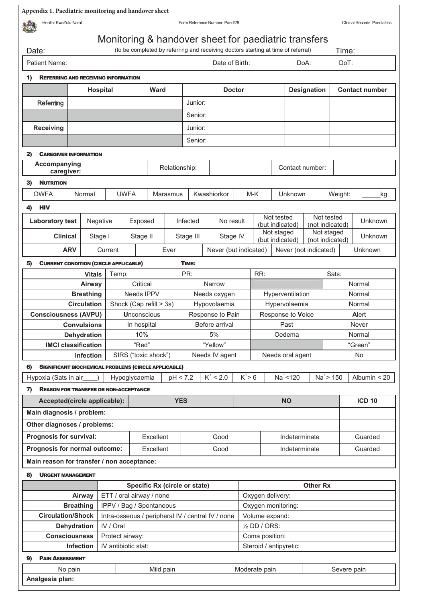| Appendix 1. Paediatric monitoring and handover sheet       |                        |                                                                |                      |                            |          |                               |                                                                                                                                           |           |                                    |                                      |                       |                               |        |                                      |
|------------------------------------------------------------|------------------------|----------------------------------------------------------------|----------------------|----------------------------|----------|-------------------------------|-------------------------------------------------------------------------------------------------------------------------------------------|-----------|------------------------------------|--------------------------------------|-----------------------|-------------------------------|--------|--------------------------------------|
| Health: KwaZulu-Natal                                      |                        |                                                                |                      |                            |          |                               | Form Reference Number: Paed/29                                                                                                            |           |                                    |                                      |                       |                               |        | <b>Clinical Records: Paediatrics</b> |
| Date:                                                      |                        |                                                                |                      |                            |          |                               | Monitoring & handover sheet for paediatric transfers<br>(to be completed by referring and receiving doctors starting at time of referral) |           |                                    |                                      |                       |                               | Time:  |                                      |
| Patient Name:                                              |                        |                                                                |                      |                            |          | Date of Birth:                |                                                                                                                                           |           |                                    | DoT:<br>DoA:                         |                       |                               |        |                                      |
|                                                            |                        |                                                                |                      |                            |          |                               |                                                                                                                                           |           |                                    |                                      |                       |                               |        |                                      |
| 1)<br><b>REFERRING AND RECEIVING INFORMATION</b>           |                        |                                                                |                      |                            |          |                               |                                                                                                                                           |           |                                    |                                      |                       |                               |        |                                      |
|                                                            | <b>Hospital</b>        |                                                                |                      | Ward                       |          |                               | <b>Doctor</b>                                                                                                                             |           |                                    |                                      | <b>Designation</b>    |                               |        | <b>Contact number</b>                |
| Referring                                                  |                        |                                                                |                      |                            |          | Junior:                       |                                                                                                                                           |           |                                    |                                      |                       |                               |        |                                      |
|                                                            |                        |                                                                |                      |                            |          | Senior:                       |                                                                                                                                           |           |                                    |                                      |                       |                               |        |                                      |
| <b>Receiving</b>                                           |                        |                                                                |                      |                            |          | Junior:                       |                                                                                                                                           |           |                                    |                                      |                       |                               |        |                                      |
|                                                            |                        |                                                                |                      |                            |          | Senior:                       |                                                                                                                                           |           |                                    |                                      |                       |                               |        |                                      |
| 2)<br><b>CAREGIVER INFORMATION</b>                         |                        |                                                                |                      |                            |          |                               |                                                                                                                                           |           |                                    |                                      |                       |                               |        |                                      |
| Accompanying<br>caregiver:                                 |                        |                                                                |                      |                            |          | Relationship:                 |                                                                                                                                           |           |                                    |                                      | Contact number:       |                               |        |                                      |
| 3)<br><b>NUTRITION</b>                                     |                        |                                                                |                      |                            |          |                               |                                                                                                                                           |           |                                    |                                      |                       |                               |        |                                      |
| <b>OWFA</b>                                                | Normal                 |                                                                | <b>UWFA</b>          |                            | Marasmus |                               | Kwashiorkor                                                                                                                               |           | M-K                                | Unknown                              |                       | Weight:                       |        | .kg                                  |
|                                                            |                        |                                                                |                      |                            |          |                               |                                                                                                                                           |           |                                    |                                      |                       |                               |        |                                      |
| <b>HIV</b><br>4)                                           |                        |                                                                |                      |                            |          |                               |                                                                                                                                           |           |                                    | Not tested                           |                       | Not tested                    |        |                                      |
| <b>Laboratory test</b>                                     | Negative               |                                                                | Exposed              |                            |          | Infected                      | No result                                                                                                                                 |           |                                    | (but indicated)                      |                       | (not indicated)               |        | Unknown                              |
| <b>Clinical</b>                                            | Stage I                |                                                                | Stage II             |                            |          | Stage III                     | Stage IV                                                                                                                                  |           |                                    | Not staged<br>(but indicated)        |                       | Not staged<br>(not indicated) |        | Unknown                              |
| <b>ARV</b>                                                 |                        | Current                                                        |                      |                            | Ever     |                               | Never (but indicated)                                                                                                                     |           |                                    |                                      | Never (not indicated) |                               |        | Unknown                              |
| <b>CURRENT CONDITION (CIRCLE APPLICABLE)</b><br>5)         |                        |                                                                |                      |                            |          | TIME:                         |                                                                                                                                           |           |                                    |                                      |                       |                               |        |                                      |
|                                                            | Temp:<br><b>Vitals</b> |                                                                |                      | PR:                        |          |                               |                                                                                                                                           | RR:       |                                    |                                      | Sats:                 |                               |        |                                      |
|                                                            | Airway                 |                                                                | Critical             |                            |          |                               | Narrow                                                                                                                                    |           |                                    |                                      |                       |                               |        | Normal                               |
|                                                            | <b>Breathing</b>       |                                                                | Needs IPPV           |                            |          |                               | Needs oxygen                                                                                                                              |           |                                    | Hyperventilation                     |                       |                               | Normal |                                      |
|                                                            | <b>Circulation</b>     |                                                                |                      | Shock (Cap refill > 3s)    |          |                               | Hypovolaemia<br>Response to Pain                                                                                                          |           | Hypervolaemia<br>Response to Voice |                                      |                       |                               |        | Normal                               |
| <b>Consciousness (AVPU)</b>                                | <b>Convulsions</b>     |                                                                |                      | Unconscious<br>In hospital |          |                               | Before arrival                                                                                                                            |           |                                    | Past                                 |                       |                               |        | Alert<br>Never                       |
|                                                            | <b>Dehydration</b>     |                                                                |                      | 10%                        |          |                               | 5%                                                                                                                                        |           |                                    | Oedema                               |                       |                               |        | Normal                               |
| <b>IMCI classification</b>                                 |                        |                                                                |                      | "Red"                      |          | "Yellow"                      |                                                                                                                                           |           |                                    |                                      |                       |                               |        | "Green"                              |
|                                                            | <b>Infection</b>       |                                                                | SIRS ("toxic shock") |                            |          |                               | Needs IV agent                                                                                                                            |           |                                    | Needs oral agent                     |                       |                               |        | No.                                  |
| SIGNIFICANT BIOCHEMICAL PROBLEMS (CIRCLE APPLICABLE)<br>6) |                        |                                                                |                      |                            |          |                               |                                                                                                                                           |           |                                    |                                      |                       |                               |        |                                      |
| Hypoxia (Sats in air                                       |                        |                                                                | Hypoglycaemia        |                            |          | pH < 7.2                      | $K^*$ < 2.0                                                                                                                               | $K^+ > 6$ |                                    | $Na+<120$                            |                       | Na <sup>+</sup> > 150         |        | Albumin < 20                         |
| <b>REASON FOR TRANSFER OR NON-ACCEPTANCE</b><br>7)         |                        |                                                                |                      |                            |          |                               |                                                                                                                                           |           |                                    |                                      |                       |                               |        |                                      |
| Accepted(circle applicable):                               |                        |                                                                |                      |                            |          | <b>YES</b>                    |                                                                                                                                           |           |                                    | <b>NO</b>                            |                       |                               |        | <b>ICD 10</b>                        |
| Main diagnosis / problem:                                  |                        |                                                                |                      |                            |          |                               |                                                                                                                                           |           |                                    |                                      |                       |                               |        |                                      |
| Other diagnoses / problems:                                |                        |                                                                |                      |                            |          |                               |                                                                                                                                           |           |                                    |                                      |                       |                               |        |                                      |
| Prognosis for survival:                                    |                        |                                                                |                      | Excellent                  |          |                               | Good                                                                                                                                      |           |                                    |                                      | Indeterminate         |                               |        | Guarded                              |
| Prognosis for normal outcome:                              |                        |                                                                |                      | Excellent                  |          |                               | Good                                                                                                                                      |           |                                    |                                      | Indeterminate         |                               |        | Guarded                              |
| Main reason for transfer / non acceptance:                 |                        |                                                                |                      |                            |          |                               |                                                                                                                                           |           |                                    |                                      |                       |                               |        |                                      |
| 8)<br><b>URGENT MANAGEMENT</b>                             |                        |                                                                |                      |                            |          |                               |                                                                                                                                           |           |                                    |                                      |                       |                               |        |                                      |
|                                                            |                        |                                                                |                      |                            |          | Specific Rx (circle or state) |                                                                                                                                           |           |                                    |                                      | <b>Other Rx</b>       |                               |        |                                      |
|                                                            | Airway                 | ETT / oral airway / none                                       |                      |                            |          |                               | Oxygen delivery:                                                                                                                          |           |                                    |                                      |                       |                               |        |                                      |
| <b>Breathing</b><br><b>Circulation/Shock</b>               |                        | IPPV / Bag / Spontaneous                                       |                      |                            |          |                               |                                                                                                                                           |           |                                    | Oxygen monitoring:<br>Volume expand: |                       |                               |        |                                      |
| <b>Dehydration</b>                                         |                        | Intra-osseous / peripheral IV / central IV / none<br>IV / Oral |                      |                            |          |                               |                                                                                                                                           |           | $\frac{1}{2}$ DD / ORS:            |                                      |                       |                               |        |                                      |
| <b>Consciousness</b>                                       |                        | Protect airway:                                                |                      |                            |          |                               |                                                                                                                                           |           |                                    | Coma position:                       |                       |                               |        |                                      |
| <b>Infection</b>                                           |                        |                                                                | IV antibiotic stat:  |                            |          |                               |                                                                                                                                           |           |                                    | Steroid / antipyretic:               |                       |                               |        |                                      |
| 9)<br><b>PAIN ASSESSMENT</b>                               |                        |                                                                |                      |                            |          |                               |                                                                                                                                           |           |                                    |                                      |                       |                               |        |                                      |
| No pain                                                    |                        |                                                                |                      | Mild pain                  |          |                               |                                                                                                                                           |           | Moderate pain                      |                                      |                       |                               |        | Severe pain                          |
| Analgesia plan:                                            |                        |                                                                |                      |                            |          |                               |                                                                                                                                           |           |                                    |                                      |                       |                               |        |                                      |
|                                                            |                        |                                                                |                      |                            |          |                               |                                                                                                                                           |           |                                    |                                      |                       |                               |        |                                      |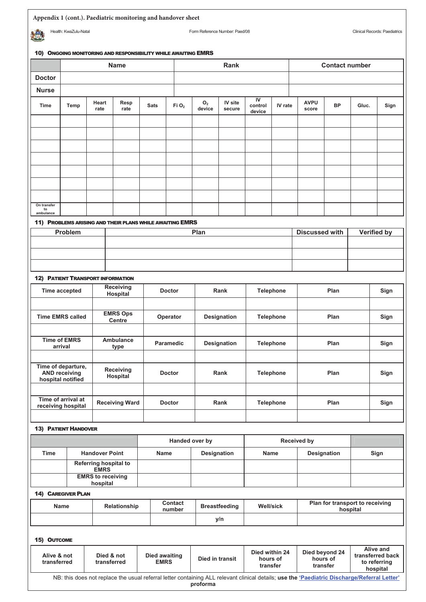#### **Appendix 1 (cont.). Paediatric monitoring and handover sheet**

麻

Health: KwaZulu-Natal **Form Reference Number: Paed/08** Clinical Records: Paediatrics Clinical Records: Paediatrics

### 10) ONGOING MONITORING AND RESPONSIBILITY WHILE AWAITING EMRS

|                                          | <b>Name</b>                                |                                      |                          |                                                          |                  | Rank                                          |                    |                                        |                  |                                                                                                                                              | <b>Contact number</b> |                                               |                    |  |
|------------------------------------------|--------------------------------------------|--------------------------------------|--------------------------|----------------------------------------------------------|------------------|-----------------------------------------------|--------------------|----------------------------------------|------------------|----------------------------------------------------------------------------------------------------------------------------------------------|-----------------------|-----------------------------------------------|--------------------|--|
| <b>Doctor</b>                            |                                            |                                      |                          |                                                          |                  |                                               |                    |                                        |                  |                                                                                                                                              |                       |                                               |                    |  |
| <b>Nurse</b>                             |                                            |                                      |                          |                                                          |                  |                                               |                    |                                        |                  |                                                                                                                                              |                       |                                               |                    |  |
| <b>Time</b>                              | Temp                                       | Heart<br>rate                        | Resp<br>rate             | <b>Sats</b>                                              | FiO <sub>2</sub> | IV site<br>O <sub>2</sub><br>device<br>secure |                    | IV<br>control<br>device                | IV rate          | <b>AVPU</b><br>score                                                                                                                         | <b>BP</b>             |                                               | Sign               |  |
|                                          |                                            |                                      |                          |                                                          |                  |                                               |                    |                                        |                  |                                                                                                                                              |                       |                                               |                    |  |
|                                          |                                            |                                      |                          |                                                          |                  |                                               |                    |                                        |                  |                                                                                                                                              |                       |                                               |                    |  |
|                                          |                                            |                                      |                          |                                                          |                  |                                               |                    |                                        |                  |                                                                                                                                              |                       |                                               |                    |  |
|                                          |                                            |                                      |                          |                                                          |                  |                                               |                    |                                        |                  |                                                                                                                                              |                       |                                               |                    |  |
|                                          |                                            |                                      |                          |                                                          |                  |                                               |                    |                                        |                  |                                                                                                                                              |                       |                                               |                    |  |
|                                          |                                            |                                      |                          |                                                          |                  |                                               |                    |                                        |                  |                                                                                                                                              |                       |                                               |                    |  |
| On transfer<br>to                        |                                            |                                      |                          |                                                          |                  |                                               |                    |                                        |                  |                                                                                                                                              |                       |                                               |                    |  |
| ambulance                                |                                            |                                      |                          | 11) PROBLEMS ARISING AND THEIR PLANS WHILE AWAITING EMRS |                  |                                               |                    |                                        |                  |                                                                                                                                              |                       |                                               |                    |  |
|                                          | Problem                                    |                                      |                          |                                                          |                  | Plan                                          |                    |                                        |                  | <b>Discussed with</b>                                                                                                                        |                       |                                               | <b>Verified by</b> |  |
|                                          |                                            |                                      |                          |                                                          |                  |                                               |                    |                                        |                  |                                                                                                                                              |                       |                                               |                    |  |
|                                          |                                            |                                      |                          |                                                          |                  |                                               |                    |                                        |                  |                                                                                                                                              |                       |                                               |                    |  |
| <b>12) PATIENT TRANSPORT INFORMATION</b> |                                            |                                      |                          |                                                          |                  |                                               |                    |                                        |                  |                                                                                                                                              |                       |                                               |                    |  |
|                                          | Time accepted                              |                                      | Receiving                | <b>Doctor</b>                                            |                  |                                               | Rank               |                                        | <b>Telephone</b> |                                                                                                                                              | Plan                  | Sign                                          |                    |  |
|                                          |                                            |                                      | Hospital                 |                                                          |                  |                                               |                    |                                        |                  |                                                                                                                                              |                       |                                               |                    |  |
|                                          | <b>Time EMRS called</b>                    |                                      | <b>EMRS Ops</b>          |                                                          | Operator         |                                               | <b>Designation</b> |                                        | <b>Telephone</b> | Plan                                                                                                                                         |                       |                                               | Sign               |  |
|                                          |                                            |                                      | Centre                   |                                                          |                  |                                               |                    |                                        |                  |                                                                                                                                              |                       |                                               |                    |  |
|                                          | <b>Time of EMRS</b><br>arrival             |                                      | <b>Ambulance</b><br>type | <b>Paramedic</b>                                         |                  |                                               | <b>Designation</b> |                                        | <b>Telephone</b> |                                                                                                                                              | Plan                  |                                               | Sign               |  |
|                                          |                                            |                                      |                          |                                                          |                  |                                               |                    |                                        |                  |                                                                                                                                              |                       |                                               |                    |  |
|                                          | Time of departure,<br><b>AND receiving</b> |                                      | Receiving                | <b>Doctor</b>                                            |                  |                                               | Rank               |                                        | <b>Telephone</b> |                                                                                                                                              | Plan                  |                                               | Sign               |  |
|                                          | hospital notified                          |                                      | Hospital                 |                                                          |                  |                                               |                    |                                        |                  |                                                                                                                                              |                       |                                               |                    |  |
|                                          | Time of arrival at                         |                                      | <b>Receiving Ward</b>    | <b>Doctor</b>                                            |                  |                                               |                    |                                        | <b>Telephone</b> |                                                                                                                                              | Plan                  |                                               | Sign               |  |
|                                          | receiving hospital                         |                                      |                          |                                                          | Rank             |                                               |                    |                                        |                  |                                                                                                                                              |                       |                                               |                    |  |
| <b>13) PATIENT HANDOVER</b>              |                                            |                                      |                          |                                                          |                  |                                               |                    |                                        |                  |                                                                                                                                              |                       |                                               |                    |  |
|                                          |                                            |                                      |                          |                                                          | Handed over by   |                                               |                    |                                        |                  | <b>Received by</b>                                                                                                                           |                       |                                               |                    |  |
| Time                                     |                                            | <b>Handover Point</b>                |                          | Name                                                     |                  |                                               | Designation        |                                        | <b>Name</b>      |                                                                                                                                              | Designation           |                                               | Sign               |  |
|                                          |                                            | Referring hospital to<br><b>EMRS</b> |                          |                                                          |                  |                                               |                    |                                        |                  |                                                                                                                                              |                       |                                               |                    |  |
|                                          |                                            | <b>EMRS</b> to receiving<br>hospital |                          |                                                          |                  |                                               |                    |                                        |                  |                                                                                                                                              |                       |                                               |                    |  |
| <b>14) CAREGIVER PLAN</b>                |                                            |                                      |                          |                                                          |                  |                                               |                    |                                        |                  |                                                                                                                                              |                       |                                               |                    |  |
|                                          | Relationship<br>Name                       |                                      |                          | Contact<br>number                                        |                  | <b>Breastfeeding</b>                          | <b>Well/sick</b>   |                                        |                  | Plan for transport to receiving                                                                                                              | hospital              |                                               |                    |  |
|                                          |                                            |                                      |                          |                                                          |                  |                                               | y/n                |                                        |                  |                                                                                                                                              |                       |                                               |                    |  |
| 15) OUTCOME                              |                                            |                                      |                          |                                                          |                  |                                               |                    |                                        |                  |                                                                                                                                              |                       |                                               |                    |  |
| Alive & not<br>transferred               |                                            | Died & not<br>transferred            |                          | <b>Died awaiting</b><br><b>EMRS</b>                      |                  | Died in transit                               |                    | Died within 24<br>hours of<br>transfer |                  | Died beyond 24<br>hours of<br>transfer                                                                                                       |                       | Alive and<br>transferred back<br>to referring |                    |  |
|                                          |                                            |                                      |                          |                                                          |                  |                                               |                    |                                        |                  | NB: this does not replace the usual referral letter containing ALL relevant clinical details; use the 'Paediatric Discharge/Referral Letter' |                       |                                               | hospital           |  |